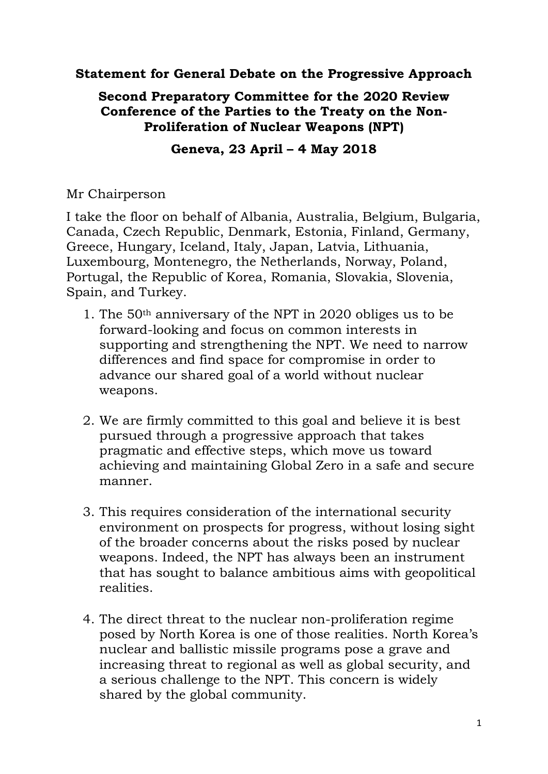## **Statement for General Debate on the Progressive Approach**

## **Second Preparatory Committee for the 2020 Review Conference of the Parties to the Treaty on the Non-Proliferation of Nuclear Weapons (NPT)**

## **Geneva, 23 April – 4 May 2018**

## Mr Chairperson

I take the floor on behalf of Albania, Australia, Belgium, Bulgaria, Canada, Czech Republic, Denmark, Estonia, Finland, Germany, Greece, Hungary, Iceland, Italy, Japan, Latvia, Lithuania, Luxembourg, Montenegro, the Netherlands, Norway, Poland, Portugal, the Republic of Korea, Romania, Slovakia, Slovenia, Spain, and Turkey.

- 1. The 50th anniversary of the NPT in 2020 obliges us to be forward-looking and focus on common interests in supporting and strengthening the NPT. We need to narrow differences and find space for compromise in order to advance our shared goal of a world without nuclear weapons.
- 2. We are firmly committed to this goal and believe it is best pursued through a progressive approach that takes pragmatic and effective steps, which move us toward achieving and maintaining Global Zero in a safe and secure manner.
- 3. This requires consideration of the international security environment on prospects for progress, without losing sight of the broader concerns about the risks posed by nuclear weapons. Indeed, the NPT has always been an instrument that has sought to balance ambitious aims with geopolitical realities.
- 4. The direct threat to the nuclear non-proliferation regime posed by North Korea is one of those realities. North Korea's nuclear and ballistic missile programs pose a grave and increasing threat to regional as well as global security, and a serious challenge to the NPT. This concern is widely shared by the global community.